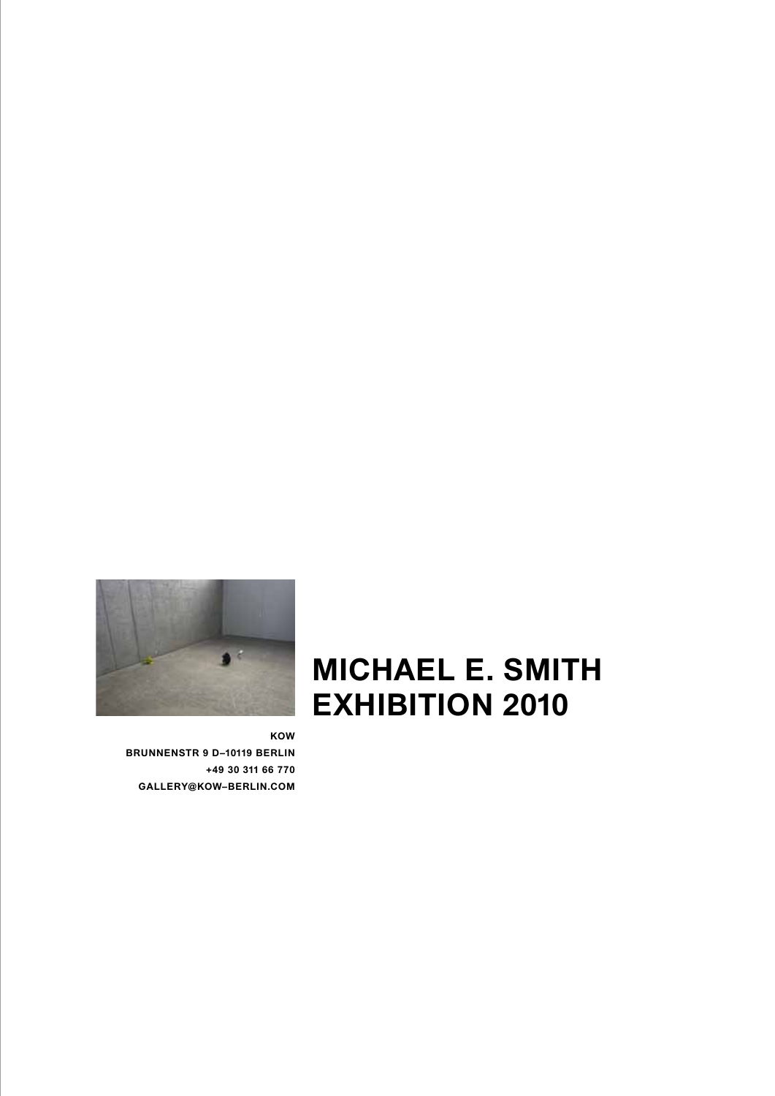

**KOW BRUNNENSTR 9 D–10119 BERLIN**

**+49 30 311 66 770 GALLERY@KOW–BERLIN.COM** 

## **MICHAEL E. SMITH exhibition 2010**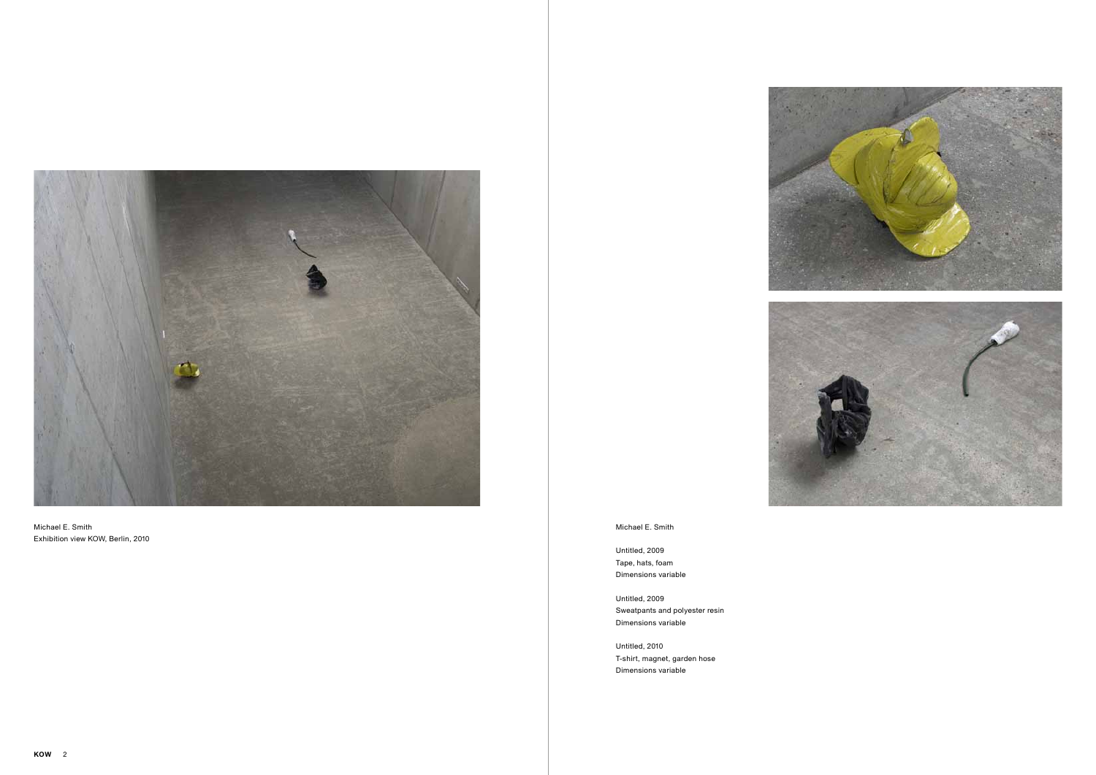

Untitled, 2009 Tape, hats, foam Dimensions variable

Untitled, 2009 Sweatpants and polyester resin Dimensions variable

Untitled, 2010 T-shirt, magnet, garden hose Dimensions variable

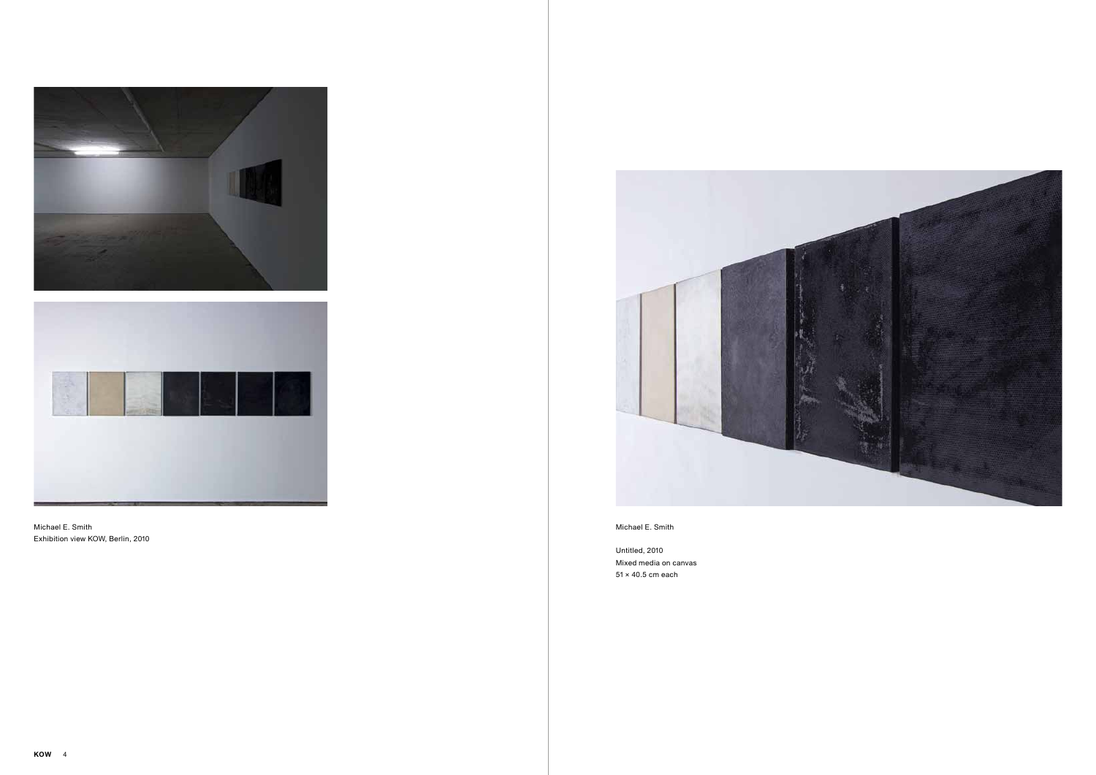Untitled, 2010 Mixed media on canvas 51 × 40.5 cm each





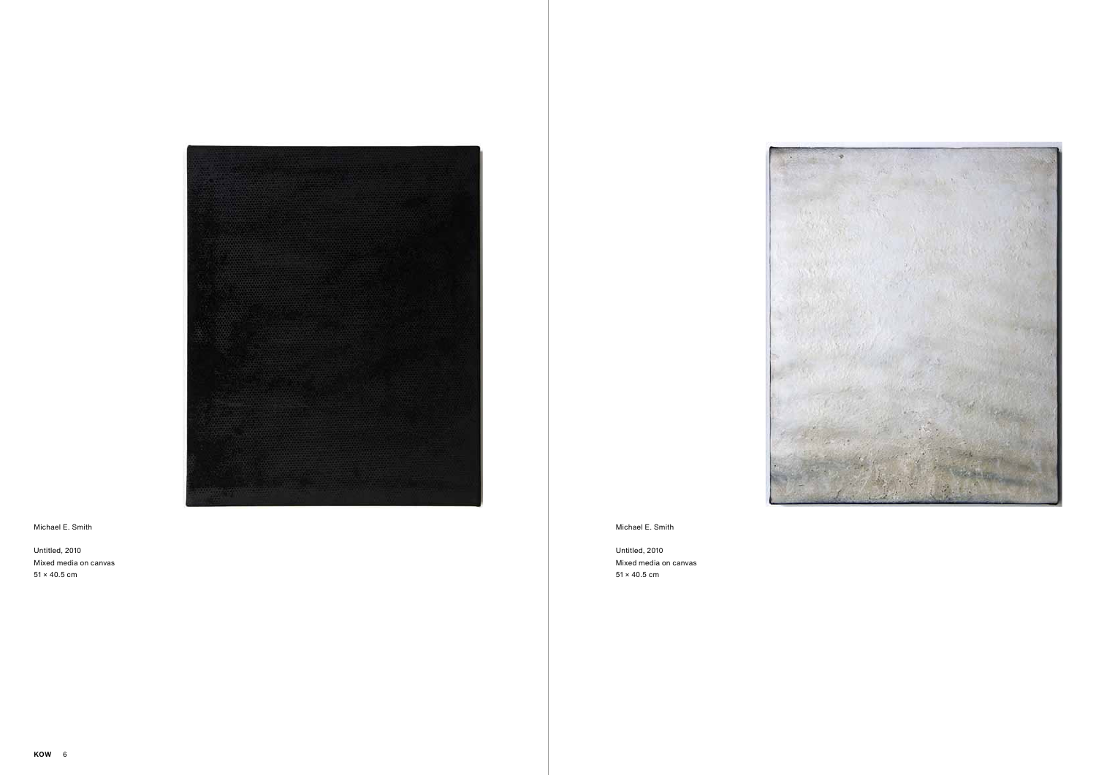

Untitled, 2010 Mixed media on canvas  $51 \times 40.5$  cm

Michael E. Smith

Untitled, 2010 Mixed media on canvas  $51 \times 40.5$  cm



## Michael E. Smith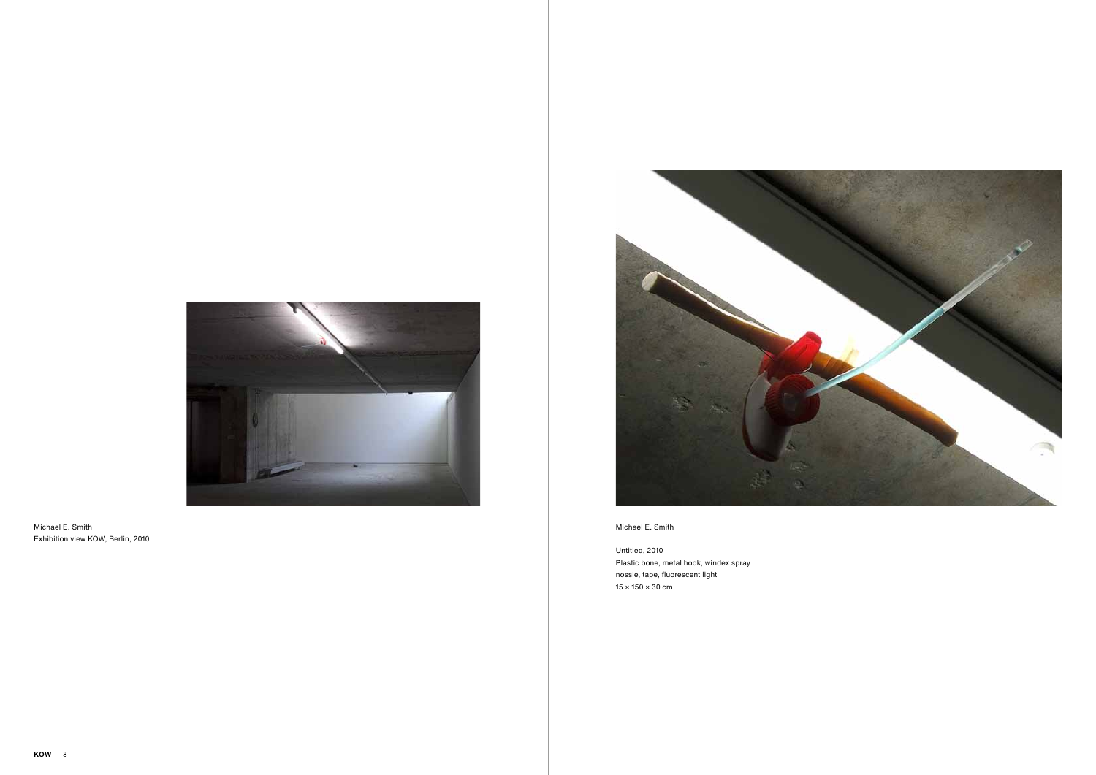Untitled, 2010 Plastic bone, metal hook, windex spray nossle, tape, fluorescent light 15 × 150 × 30 cm



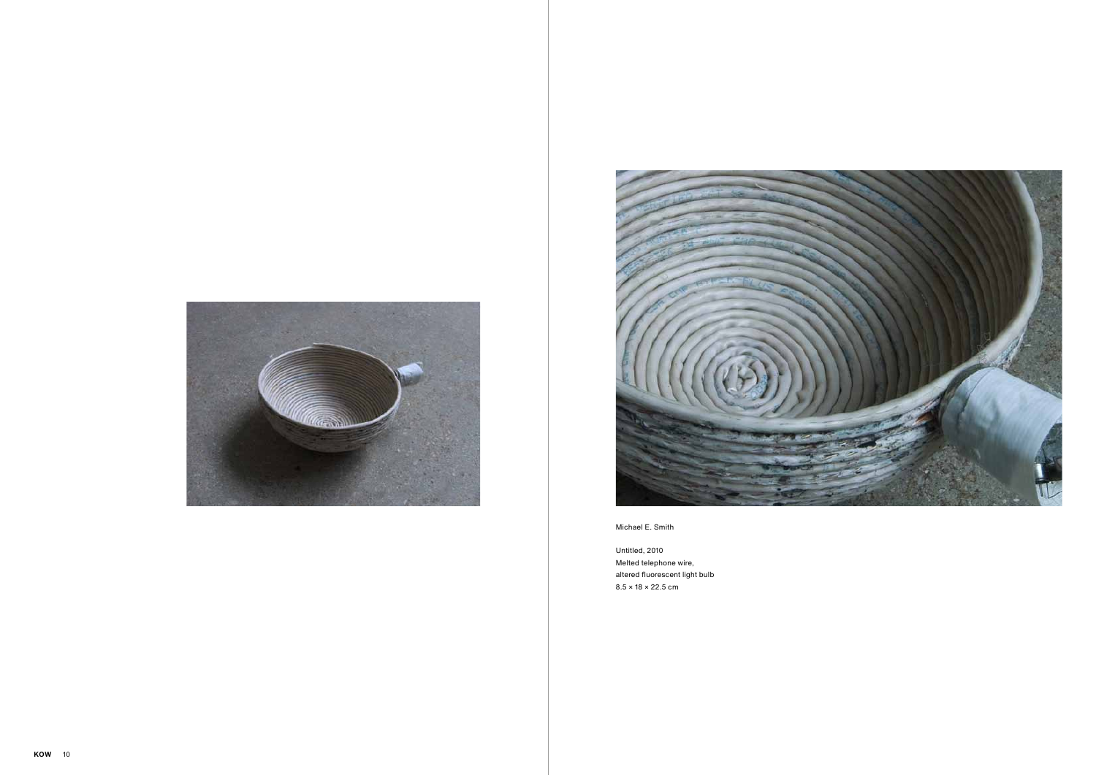



Untitled, 2010 Melted telephone wire, altered fluorescent light bulb 8.5 × 18 × 22.5 cm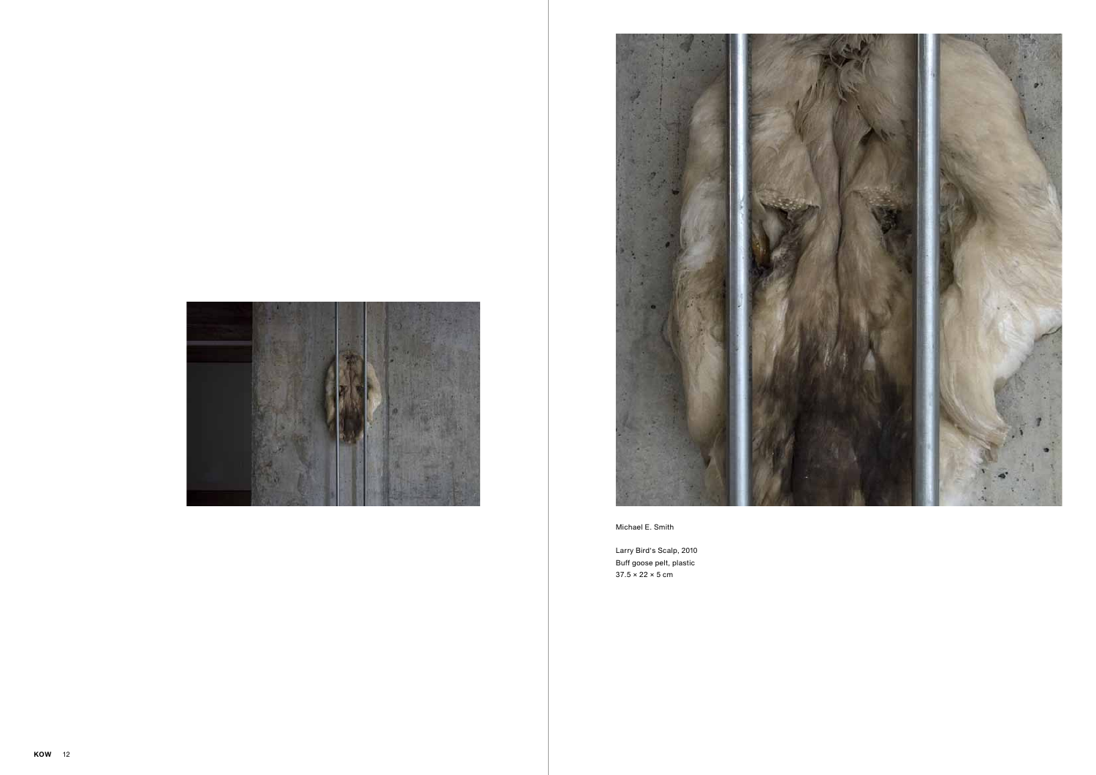



Larry Bird's Scalp, 2010 Buff goose pelt, plastic 37.5 × 22 × 5 cm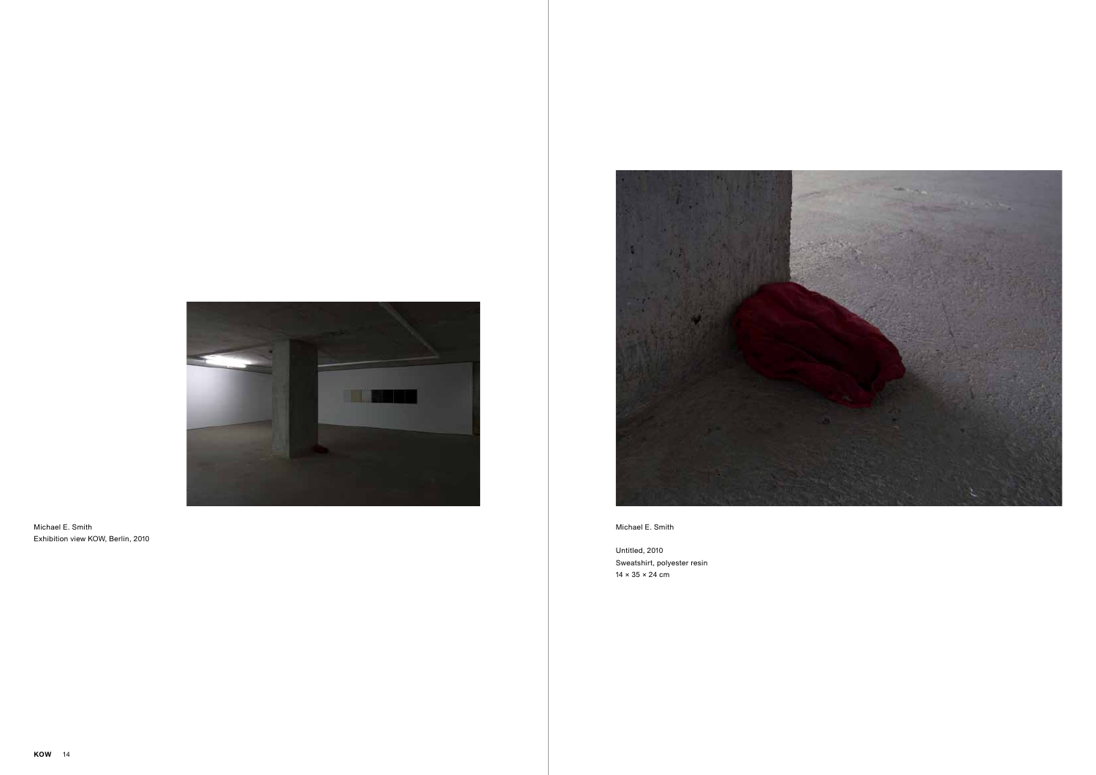Untitled, 2010 Sweatshirt, polyester resin 14 × 35 × 24 cm